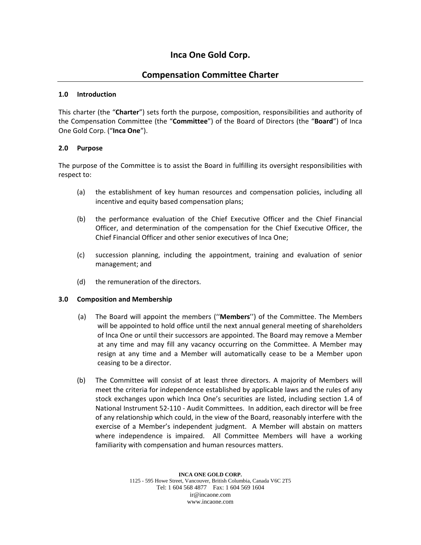# **Inca One Gold Corp.**

# **Compensation Committee Charter**

# **1.0 Introduction**

This charter (the "**Charter**") sets forth the purpose, composition, responsibilities and authority of the Compensation Committee (the "**Committee**") of the Board of Directors (the "**Board**") of Inca One Gold Corp. ("**Inca One**").

# **2.0 Purpose**

The purpose of the Committee is to assist the Board in fulfilling its oversight responsibilities with respect to:

- (a) the establishment of key human resources and compensation policies, including all incentive and equity based compensation plans;
- (b) the performance evaluation of the Chief Executive Officer and the Chief Financial Officer, and determination of the compensation for the Chief Executive Officer, the Chief Financial Officer and other senior executives of Inca One;
- (c) succession planning, including the appointment, training and evaluation of senior management; and
- (d) the remuneration of the directors.

### **3.0 Composition and Membership**

- (a) The Board will appoint the members (''**Members**'') of the Committee. The Members will be appointed to hold office until the next annual general meeting of shareholders of Inca One or until their successors are appointed. The Board may remove a Member at any time and may fill any vacancy occurring on the Committee. A Member may resign at any time and a Member will automatically cease to be a Member upon ceasing to be a director.
- (b) The Committee will consist of at least three directors. A majority of Members will meet the criteria for independence established by applicable laws and the rules of any stock exchanges upon which Inca One's securities are listed, including section 1.4 of National Instrument 52‐110 ‐ Audit Committees. In addition, each director will be free of any relationship which could, in the view of the Board, reasonably interfere with the exercise of a Member's independent judgment. A Member will abstain on matters where independence is impaired. All Committee Members will have a working familiarity with compensation and human resources matters.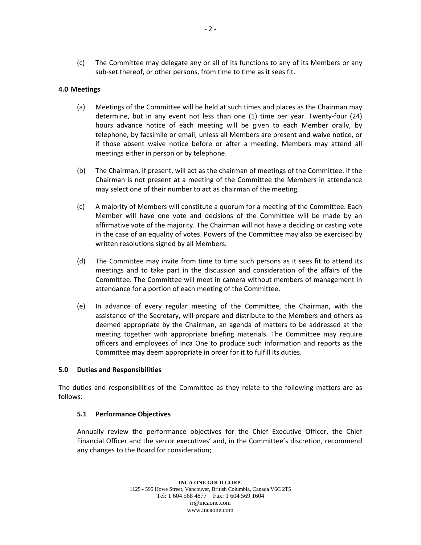(c) The Committee may delegate any or all of its functions to any of its Members or any sub-set thereof, or other persons, from time to time as it sees fit.

# **4.0 Meetings**

- (a) Meetings of the Committee will be held at such times and places as the Chairman may determine, but in any event not less than one (1) time per year. Twenty‐four (24) hours advance notice of each meeting will be given to each Member orally, by telephone, by facsimile or email, unless all Members are present and waive notice, or if those absent waive notice before or after a meeting. Members may attend all meetings either in person or by telephone.
- (b) The Chairman, if present, will act as the chairman of meetings of the Committee. If the Chairman is not present at a meeting of the Committee the Members in attendance may select one of their number to act as chairman of the meeting.
- (c) A majority of Members will constitute a quorum for a meeting of the Committee. Each Member will have one vote and decisions of the Committee will be made by an affirmative vote of the majority. The Chairman will not have a deciding or casting vote in the case of an equality of votes. Powers of the Committee may also be exercised by written resolutions signed by all Members.
- (d) The Committee may invite from time to time such persons as it sees fit to attend its meetings and to take part in the discussion and consideration of the affairs of the Committee. The Committee will meet in camera without members of management in attendance for a portion of each meeting of the Committee.
- (e) In advance of every regular meeting of the Committee, the Chairman, with the assistance of the Secretary, will prepare and distribute to the Members and others as deemed appropriate by the Chairman, an agenda of matters to be addressed at the meeting together with appropriate briefing materials. The Committee may require officers and employees of Inca One to produce such information and reports as the Committee may deem appropriate in order for it to fulfill its duties.

### **5.0 Duties and Responsibilities**

The duties and responsibilities of the Committee as they relate to the following matters are as follows:

### **5.1 Performance Objectives**

Annually review the performance objectives for the Chief Executive Officer, the Chief Financial Officer and the senior executives' and, in the Committee's discretion, recommend any changes to the Board for consideration;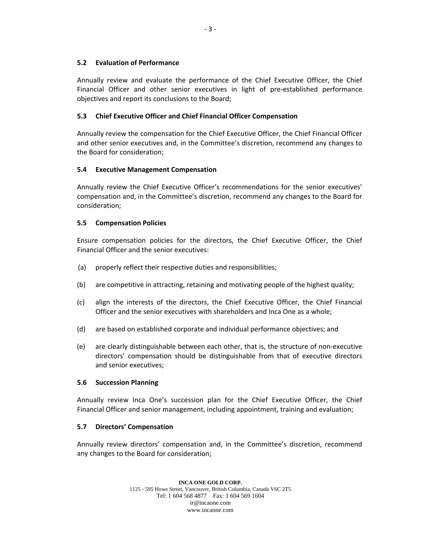# **5.2 Evaluation of Performance**

Annually review and evaluate the performance of the Chief Executive Officer, the Chief Financial Officer and other senior executives in light of pre‐established performance objectives and report its conclusions to the Board;

# **5.3 Chief Executive Officer and Chief Financial Officer Compensation**

Annually review the compensation for the Chief Executive Officer, the Chief Financial Officer and other senior executives and, in the Committee's discretion, recommend any changes to the Board for consideration;

# **5.4 Executive Management Compensation**

Annually review the Chief Executive Officer's recommendations for the senior executives' compensation and, in the Committee's discretion, recommend any changes to the Board for consideration;

# **5.5 Compensation Policies**

Ensure compensation policies for the directors, the Chief Executive Officer, the Chief Financial Officer and the senior executives:

- (a) properly reflect their respective duties and responsibilities;
- (b) are competitive in attracting, retaining and motivating people of the highest quality;
- (c) align the interests of the directors, the Chief Executive Officer, the Chief Financial Officer and the senior executives with shareholders and Inca One as a whole;
- (d) are based on established corporate and individual performance objectives; and
- (e) are clearly distinguishable between each other, that is, the structure of non‐executive directors' compensation should be distinguishable from that of executive directors and senior executives;

# **5.6 Succession Planning**

Annually review Inca One's succession plan for the Chief Executive Officer, the Chief Financial Officer and senior management, including appointment, training and evaluation;

# **5.7 Directors' Compensation**

Annually review directors' compensation and, in the Committee's discretion, recommend any changes to the Board for consideration;